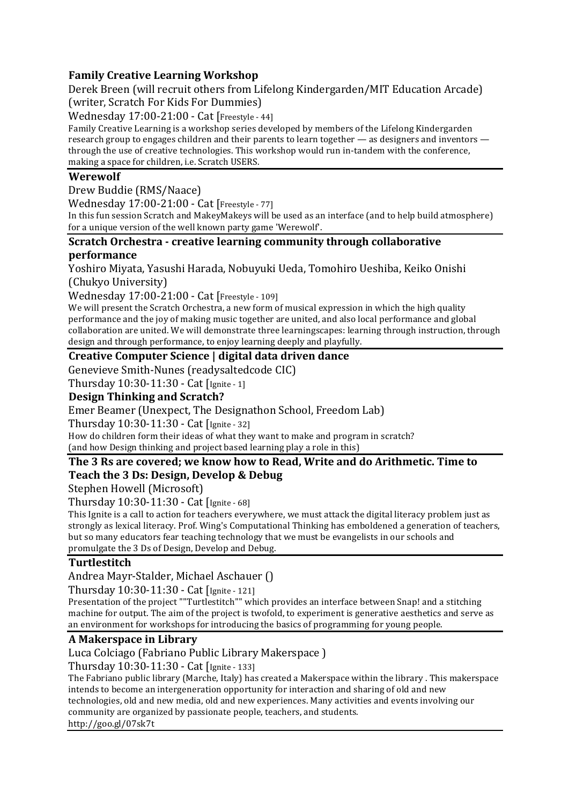## **Family Creative Learning Workshop**

Derek Breen (will recruit others from Lifelong Kindergarden/MIT Education Arcade) (writer, Scratch For Kids For Dummies)

Wednesday 17:00-21:00 - Cat [Freestyle - 44]

Family Creative Learning is a workshop series developed by members of the Lifelong Kindergarden research group to engages children and their parents to learn together  $-$  as designers and inventors  $$ through the use of creative technologies. This workshop would run in-tandem with the conference, making a space for children, i.e. Scratch USERS.

## **Werewolf**

Drew Buddie (RMS/Naace)

Wednesday 17:00-21:00 - Cat [Freestyle - 77]

In this fun session Scratch and MakeyMakeys will be used as an interface (and to help build atmosphere) for a unique version of the well known party game 'Werewolf'.

### **Scratch Orchestra - creative learning community through collaborative performance**

Yoshiro Miyata, Yasushi Harada, Nobuyuki Ueda, Tomohiro Ueshiba, Keiko Onishi (Chukyo University)

Wednesday 17:00-21:00 - Cat [Freestyle - 109]

We will present the Scratch Orchestra, a new form of musical expression in which the high quality performance and the joy of making music together are united, and also local performance and global collaboration are united. We will demonstrate three learningscapes: learning through instruction, through design and through performance, to enjoy learning deeply and playfully.

## **Creative Computer Science | digital data driven dance**

Genevieve Smith-Nunes (readysaltedcode CIC)

Thursday 10:30-11:30 - Cat [Ignite - 1]

## **Design Thinking and Scratch?**

Emer Beamer (Unexpect, The Designathon School, Freedom Lab)

Thursday 10:30-11:30 - Cat [Ignite - 32]

How do children form their ideas of what they want to make and program in scratch? (and how Design thinking and project based learning play a role in this)

### The 3 Rs are covered; we know how to Read, Write and do Arithmetic. Time to Teach the 3 Ds: Design, Develop & Debug

Stephen Howell (Microsoft)

Thursday 10:30-11:30 - Cat [Ignite - 68]

This Ignite is a call to action for teachers everywhere, we must attack the digital literacy problem just as strongly as lexical literacy. Prof. Wing's Computational Thinking has emboldened a generation of teachers, but so many educators fear teaching technology that we must be evangelists in our schools and promulgate the 3 Ds of Design, Develop and Debug.

## **Turtlestitch**

Andrea Mayr-Stalder, Michael Aschauer ()

Thursday 10:30-11:30 - Cat [Ignite - 121]

Presentation of the project ""Turtlestitch"" which provides an interface between Snap! and a stitching machine for output. The aim of the project is twofold, to experiment is generative aesthetics and serve as an environment for workshops for introducing the basics of programming for young people.

## **A Makerspace in Library**

Luca Colciago (Fabriano Public Library Makerspace)

Thursday 10:30-11:30 - Cat [Ignite - 133]

The Fabriano public library (Marche, Italy) has created a Makerspace within the library. This makerspace intends to become an intergeneration opportunity for interaction and sharing of old and new technologies, old and new media, old and new experiences. Many activities and events involving our community are organized by passionate people, teachers, and students. http://goo.gl/07sk7t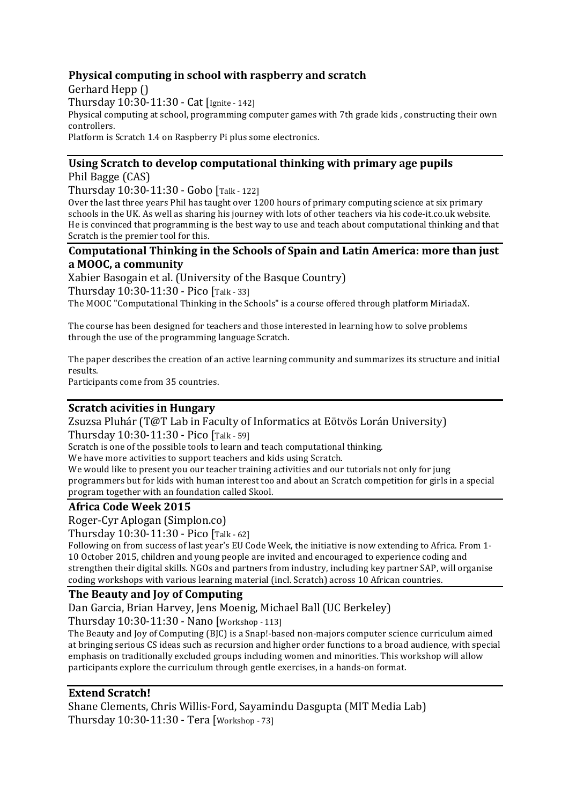## **Physical computing in school with raspberry and scratch**

Gerhard Hepp () Thursday 10:30-11:30 - Cat [Ignite - 142] Physical computing at school, programming computer games with 7th grade kids, constructing their own controllers. Platform is Scratch 1.4 on Raspberry Pi plus some electronics.

## Using Scratch to develop computational thinking with primary age pupils

Phil Bagge (CAS)

Thursday 10:30-11:30 - Gobo [Talk - 122]

Over the last three years Phil has taught over 1200 hours of primary computing science at six primary schools in the UK. As well as sharing his journey with lots of other teachers via his code-it.co.uk website. He is convinced that programming is the best way to use and teach about computational thinking and that Scratch is the premier tool for this.

#### **Computational Thinking in the Schools of Spain and Latin America: more than just a MOOC, a community**

Xabier Basogain et al. (University of the Basque Country) Thursday 10:30-11:30 - Pico [Talk - 33] The MOOC "Computational Thinking in the Schools" is a course offered through platform MiriadaX.

The course has been designed for teachers and those interested in learning how to solve problems through the use of the programming language Scratch.

The paper describes the creation of an active learning community and summarizes its structure and initial results.

Participants come from 35 countries.

### **Scratch acivities in Hungary**

Zsuzsa Pluhár (T@T Lab in Faculty of Informatics at Eötvös Lorán University) Thursday 10:30-11:30 - Pico [Talk - 59]

Scratch is one of the possible tools to learn and teach computational thinking.

We have more activities to support teachers and kids using Scratch.

We would like to present you our teacher training activities and our tutorials not only for jung programmers but for kids with human interest too and about an Scratch competition for girls in a special program together with an foundation called Skool.

## **Africa Code Week 2015**

Roger-Cyr Aplogan (Simplon.co)

Thursday 10:30-11:30 - Pico [Talk - 62]

Following on from success of last year's EU Code Week, the initiative is now extending to Africa. From 1-10 October 2015, children and young people are invited and encouraged to experience coding and strengthen their digital skills. NGOs and partners from industry, including key partner SAP, will organise coding workshops with various learning material (incl. Scratch) across 10 African countries.

## **The Beauty and Iov of Computing**

Dan Garcia, Brian Harvey, Jens Moenig, Michael Ball (UC Berkeley)

Thursday 10:30-11:30 - Nano [Workshop - 113]

The Beauty and Joy of Computing (BJC) is a Snap!-based non-majors computer science curriculum aimed at bringing serious CS ideas such as recursion and higher order functions to a broad audience, with special emphasis on traditionally excluded groups including women and minorities. This workshop will allow participants explore the curriculum through gentle exercises, in a hands-on format.

## **Extend Scratch!**

Shane Clements, Chris Willis-Ford, Sayamindu Dasgupta (MIT Media Lab) Thursday 10:30-11:30 - Tera [Workshop - 73]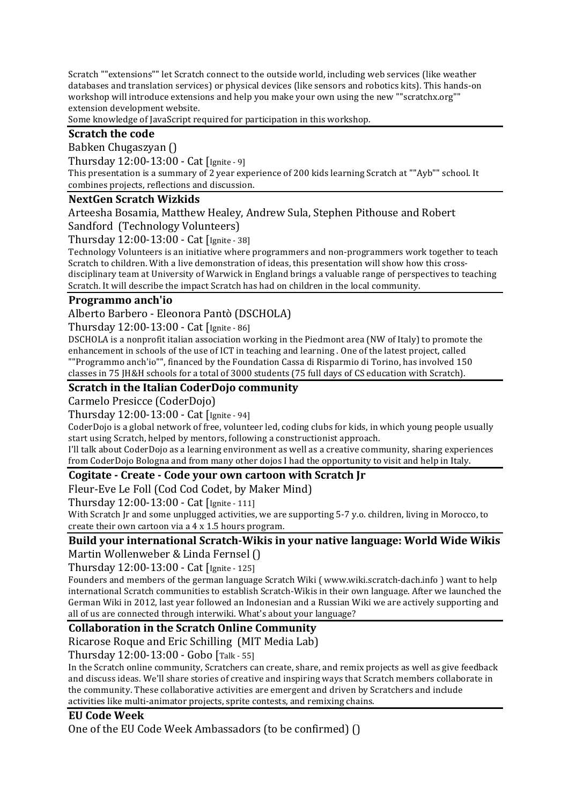Scratch ""extensions"" let Scratch connect to the outside world, including web services (like weather databases and translation services) or physical devices (like sensors and robotics kits). This hands-on workshop will introduce extensions and help you make your own using the new ""scratchx.org"" extension development website.

Some knowledge of JavaScript required for participation in this workshop.

## **Scratch the code**

Babken Chugaszyan ()

Thursday 12:00-13:00 - Cat [Ignite - 9]

This presentation is a summary of 2 year experience of 200 kids learning Scratch at ""Ayb"" school. It combines projects, reflections and discussion.

### **NextGen Scratch Wizkids**

Arteesha Bosamia, Matthew Healey, Andrew Sula, Stephen Pithouse and Robert Sandford (Technology Volunteers)

Thursday 12:00-13:00 - Cat [Ignite - 38]

Technology Volunteers is an initiative where programmers and non-programmers work together to teach Scratch to children. With a live demonstration of ideas, this presentation will show how this crossdisciplinary team at University of Warwick in England brings a valuable range of perspectives to teaching Scratch. It will describe the impact Scratch has had on children in the local community.

### **Programmo anch'io**

Alberto Barbero - Eleonora Pantò (DSCHOLA)

Thursday 12:00-13:00 - Cat [Ignite - 86]

DSCHOLA is a nonprofit italian association working in the Piedmont area (NW of Italy) to promote the enhancement in schools of the use of ICT in teaching and learning . One of the latest project, called  $"$ "Programmo anch'io"", financed by the Foundation Cassa di Risparmio di Torino, has involved 150 classes in 75 [H&H schools for a total of 3000 students (75 full days of CS education with Scratch).

## **Scratch in the Italian CoderDojo community**

Carmelo Presicce (CoderDojo)

Thursday 12:00-13:00 - Cat [Ignite - 94]

CoderDojo is a global network of free, volunteer led, coding clubs for kids, in which young people usually start using Scratch, helped by mentors, following a constructionist approach.

I'll talk about CoderDojo as a learning environment as well as a creative community, sharing experiences from CoderDojo Bologna and from many other dojos I had the opportunity to visit and help in Italy.

## **Cogitate - Create - Code your own cartoon with Scratch Jr**

Fleur-Eve Le Foll (Cod Cod Codet, by Maker Mind)

Thursday 12:00-13:00 - Cat [Ignite - 111]

With Scratch Jr and some unplugged activities, we are supporting 5-7 y.o. children, living in Morocco, to create their own cartoon via a  $4 \times 1.5$  hours program.

## **Build vour international Scratch-Wikis in your native language: World Wide Wikis**

Martin Wollenweber & Linda Fernsel ()

Thursday 12:00-13:00 - Cat [Ignite - 125]

Founders and members of the german language Scratch Wiki ( www.wiki.scratch-dach.info ) want to help international Scratch communities to establish Scratch-Wikis in their own language. After we launched the German Wiki in 2012, last year followed an Indonesian and a Russian Wiki we are actively supporting and all of us are connected through interwiki. What's about your language?

## **Collaboration in the Scratch Online Community**

Ricarose Roque and Eric Schilling (MIT Media Lab)

Thursday 12:00-13:00 - Gobo [Talk - 55]

In the Scratch online community, Scratchers can create, share, and remix projects as well as give feedback and discuss ideas. We'll share stories of creative and inspiring ways that Scratch members collaborate in the community. These collaborative activities are emergent and driven by Scratchers and include activities like multi-animator projects, sprite contests, and remixing chains.

## **EU Code Week**

One of the EU Code Week Ambassadors (to be confirmed)  $( )$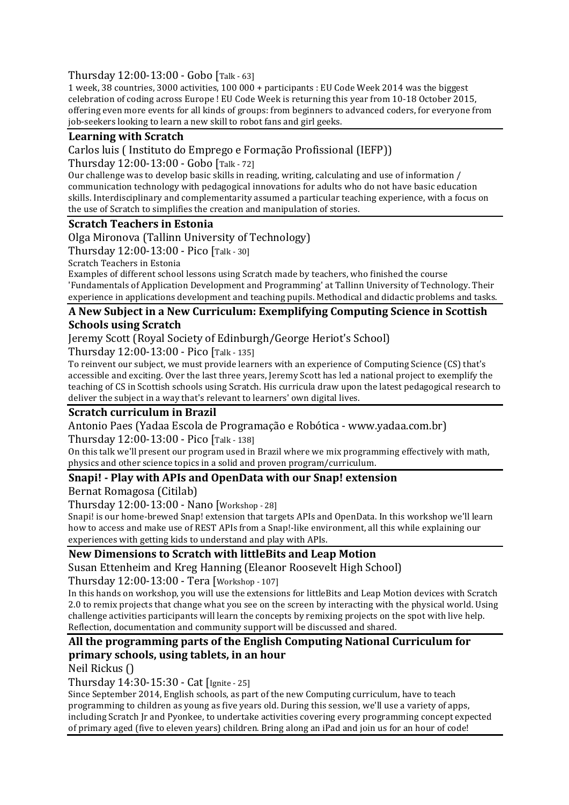Thursday 12:00-13:00 - Gobo [Talk - 63]

1 week, 38 countries, 3000 activities, 100 000 + participants : EU Code Week 2014 was the biggest celebration of coding across Europe ! EU Code Week is returning this year from 10-18 October 2015, offering even more events for all kinds of groups: from beginners to advanced coders, for everyone from job-seekers looking to learn a new skill to robot fans and girl geeks.

## Learning with Scratch

Carlos luis (Instituto do Emprego e Formação Profissional (IEFP))

Thursday 12:00-13:00 - Gobo [Talk - 72]

Our challenge was to develop basic skills in reading, writing, calculating and use of information / communication technology with pedagogical innovations for adults who do not have basic education skills. Interdisciplinary and complementarity assumed a particular teaching experience, with a focus on the use of Scratch to simplifies the creation and manipulation of stories.

### **Scratch Teachers in Estonia**

Olga Mironova (Tallinn University of Technology)

Thursday 12:00-13:00 - Pico [Talk - 30]

Scratch Teachers in Estonia

Examples of different school lessons using Scratch made by teachers, who finished the course 'Fundamentals of Application Development and Programming' at Tallinn University of Technology. Their experience in applications development and teaching pupils. Methodical and didactic problems and tasks.

## A New Subject in a New Curriculum: Exemplifying Computing Science in Scottish **Schools using Scratch**

Jeremy Scott (Royal Society of Edinburgh/George Heriot's School)

Thursday 12:00-13:00 - Pico [Talk - 135]

To reinvent our subject, we must provide learners with an experience of Computing Science (CS) that's accessible and exciting. Over the last three years, Jeremy Scott has led a national project to exemplify the teaching of CS in Scottish schools using Scratch. His curricula draw upon the latest pedagogical research to deliver the subject in a way that's relevant to learners' own digital lives.

## **Scratch curriculum in Brazil**

Antonio Paes (Yadaa Escola de Programação e Robótica - www.yadaa.com.br)

Thursday 12:00-13:00 - Pico [Talk - 138]

On this talk we'll present our program used in Brazil where we mix programming effectively with math. physics and other science topics in a solid and proven program/curriculum.

## **Snapi!** - Play with APIs and OpenData with our Snap! extension

Bernat Romagosa (Citilab)

Thursday 12:00-13:00 - Nano [Workshop - 28]

Snapi! is our home-brewed Snap! extension that targets APIs and OpenData. In this workshop we'll learn how to access and make use of REST APIs from a Snap!-like environment, all this while explaining our experiences with getting kids to understand and play with APIs.

## New Dimensions to Scratch with littleBits and Leap Motion

Susan Ettenheim and Kreg Hanning (Eleanor Roosevelt High School)

Thursday 12:00-13:00 - Tera [Workshop - 107]

In this hands on workshop, you will use the extensions for littleBits and Leap Motion devices with Scratch 2.0 to remix projects that change what you see on the screen by interacting with the physical world. Using challenge activities participants will learn the concepts by remixing projects on the spot with live help. Reflection, documentation and community support will be discussed and shared.

## All the programming parts of the English Computing National Curriculum for **primary schools, using tablets, in an hour**

Neil Rickus ()

Thursday 14:30-15:30 - Cat [Ignite - 25]

Since September 2014, English schools, as part of the new Computing curriculum, have to teach programming to children as young as five years old. During this session, we'll use a variety of apps, including Scratch Ir and Pyonkee, to undertake activities covering every programming concept expected of primary aged (five to eleven years) children. Bring along an iPad and join us for an hour of code!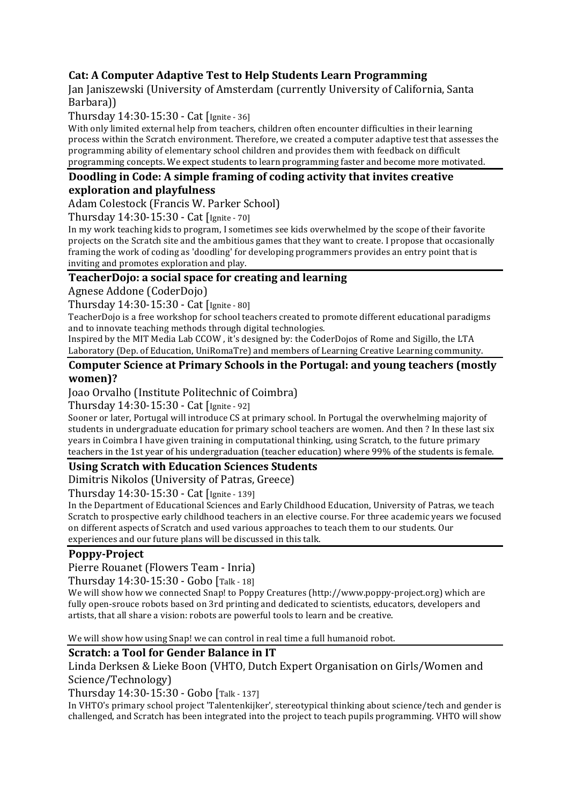## **Cat: A Computer Adaptive Test to Help Students Learn Programming**

Jan Janiszewski (University of Amsterdam (currently University of California, Santa Barbara))

Thursday 14:30-15:30 - Cat [Ignite - 36]

With only limited external help from teachers, children often encounter difficulties in their learning process within the Scratch environment. Therefore, we created a computer adaptive test that assesses the programming ability of elementary school children and provides them with feedback on difficult programming concepts. We expect students to learn programming faster and become more motivated.

## **Doodling in Code: A simple framing of coding activity that invites creative exploration and playfulness**

Adam Colestock (Francis W. Parker School)

Thursday 14:30-15:30 - Cat [Ignite - 70]

In my work teaching kids to program. I sometimes see kids overwhelmed by the scope of their favorite projects on the Scratch site and the ambitious games that they want to create. I propose that occasionally framing the work of coding as 'doodling' for developing programmers provides an entry point that is inviting and promotes exploration and play.

## **TeacherDojo: a social space for creating and learning**

Agnese Addone (CoderDojo)

Thursday 14:30-15:30 - Cat [Ignite - 80]

TeacherDojo is a free workshop for school teachers created to promote different educational paradigms and to innovate teaching methods through digital technologies.

Inspired by the MIT Media Lab CCOW, it's designed by: the CoderDojos of Rome and Sigillo, the LTA Laboratory (Dep. of Education, UniRomaTre) and members of Learning Creative Learning community.

#### **Computer Science at Primary Schools in the Portugal: and young teachers (mostly women)?**

Joao Orvalho (Institute Politechnic of Coimbra)

Thursday 14:30-15:30 - Cat [Ignite - 92]

Sooner or later, Portugal will introduce CS at primary school. In Portugal the overwhelming majority of students in undergraduate education for primary school teachers are women. And then ? In these last six years in Coimbra I have given training in computational thinking, using Scratch, to the future primary teachers in the 1st year of his undergraduation (teacher education) where 99% of the students is female.

## **Using Scratch with Education Sciences Students**

Dimitris Nikolos (University of Patras, Greece)

Thursday 14:30-15:30 - Cat [Ignite - 139]

In the Department of Educational Sciences and Early Childhood Education, University of Patras, we teach Scratch to prospective early childhood teachers in an elective course. For three academic years we focused on different aspects of Scratch and used various approaches to teach them to our students. Our experiences and our future plans will be discussed in this talk.

## **Poppy-Project**

Pierre Rouanet (Flowers Team - Inria)

Thursday 14:30-15:30 - Gobo [Talk - 18]

We will show how we connected Snap! to Poppy Creatures (http://www.poppy-project.org) which are fully open-srouce robots based on 3rd printing and dedicated to scientists, educators, developers and artists, that all share a vision: robots are powerful tools to learn and be creative.

We will show how using Snap! we can control in real time a full humanoid robot.

#### **Scratch: a Tool for Gender Balance in IT**

Linda Derksen & Lieke Boon (VHTO, Dutch Expert Organisation on Girls/Women and Science/Technology)

Thursday 14:30-15:30 - Gobo [Talk - 137]

In VHTO's primary school project 'Talentenkijker', stereotypical thinking about science/tech and gender is challenged, and Scratch has been integrated into the project to teach pupils programming. VHTO will show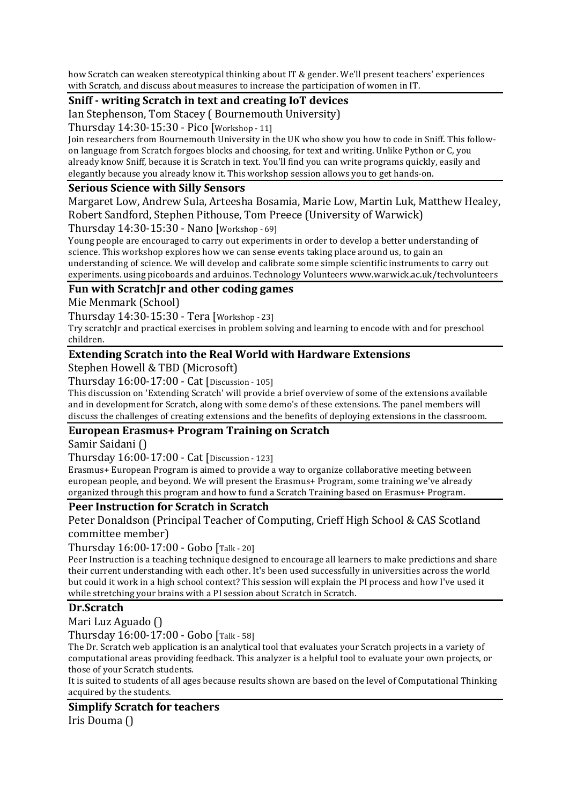how Scratch can weaken stereotypical thinking about IT & gender. We'll present teachers' experiences with Scratch, and discuss about measures to increase the participation of women in IT.

## **Sniff - writing Scratch in text and creating IoT devices**

Ian Stephenson, Tom Stacey (Bournemouth University)

Thursday 14:30-15:30 - Pico [Workshop - 11]

Join researchers from Bournemouth University in the UK who show you how to code in Sniff. This followon language from Scratch forgoes blocks and choosing, for text and writing. Unlike Python or C, you already know Sniff, because it is Scratch in text. You'll find you can write programs quickly, easily and elegantly because you already know it. This workshop session allows you to get hands-on.

#### **Serious Science with Silly Sensors**

Margaret Low, Andrew Sula, Arteesha Bosamia, Marie Low, Martin Luk, Matthew Healey, Robert Sandford, Stephen Pithouse, Tom Preece (University of Warwick)

Thursday 14:30-15:30 - Nano [Workshop - 69]

Young people are encouraged to carry out experiments in order to develop a better understanding of science. This workshop explores how we can sense events taking place around us, to gain an understanding of science. We will develop and calibrate some simple scientific instruments to carry out experiments. using picoboards and arduinos. Technology Volunteers www.warwick.ac.uk/techvolunteers

#### Fun with ScratchIr and other coding games

Mie Menmark (School)

Thursday 14:30-15:30 - Tera [Workshop - 23]

Try scratch Ir and practical exercises in problem solving and learning to encode with and for preschool children.

### **Extending Scratch into the Real World with Hardware Extensions**

Stephen Howell & TBD (Microsoft)

Thursday 16:00-17:00 - Cat [Discussion - 105]

This discussion on 'Extending Scratch' will provide a brief overview of some of the extensions available and in development for Scratch, along with some demo's of these extensions. The panel members will discuss the challenges of creating extensions and the benefits of deploying extensions in the classroom.

#### European Erasmus+ Program Training on Scratch

Samir Saidani ()

Thursday 16:00-17:00 - Cat [Discussion - 123]

Erasmus+ European Program is aimed to provide a way to organize collaborative meeting between european people, and beyond. We will present the Erasmus+ Program, some training we've already organized through this program and how to fund a Scratch Training based on Erasmus+ Program.

## **Peer Instruction for Scratch in Scratch**

Peter Donaldson (Principal Teacher of Computing, Crieff High School & CAS Scotland committee member)

Thursday 16:00-17:00 - Gobo [Talk - 20]

Peer Instruction is a teaching technique designed to encourage all learners to make predictions and share their current understanding with each other. It's been used successfully in universities across the world but could it work in a high school context? This session will explain the PI process and how I've used it while stretching your brains with a PI session about Scratch in Scratch.

#### **Dr.Scratch**

Mari Luz Aguado ()

Thursday 16:00-17:00 - Gobo [Talk - 58]

The Dr. Scratch web application is an analytical tool that evaluates your Scratch projects in a variety of computational areas providing feedback. This analyzer is a helpful tool to evaluate your own projects, or those of your Scratch students.

It is suited to students of all ages because results shown are based on the level of Computational Thinking acquired by the students.

**Simplify Scratch for teachers** Iris Douma ()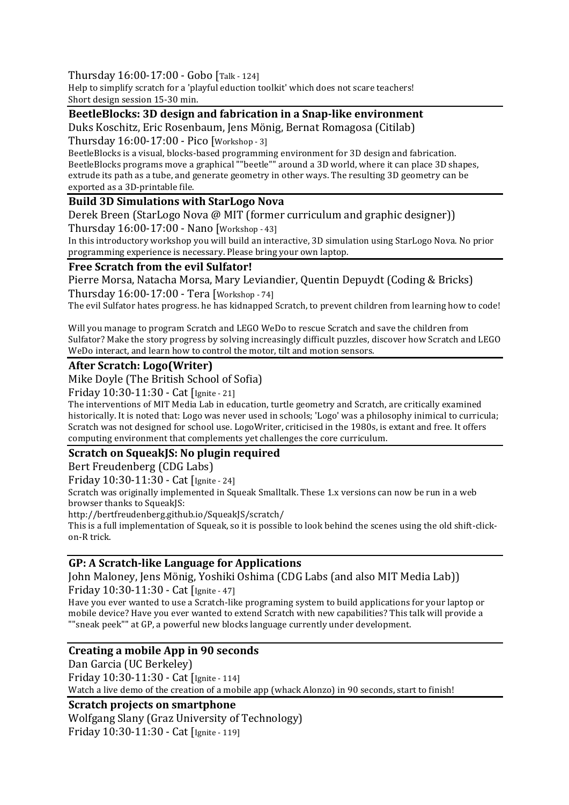Thursday 16:00-17:00 - Gobo [Talk - 124]

Help to simplify scratch for a 'playful eduction toolkit' which does not scare teachers! Short design session 15-30 min.

### **BeetleBlocks: 3D design and fabrication in a Snap-like environment**

Duks Koschitz, Eric Rosenbaum, Jens Mönig, Bernat Romagosa (Citilab)

Thursday 16:00-17:00 - Pico [Workshop - 3]

BeetleBlocks is a visual, blocks-based programming environment for 3D design and fabrication. BeetleBlocks programs move a graphical ""beetle"" around a 3D world, where it can place 3D shapes, extrude its path as a tube, and generate geometry in other ways. The resulting 3D geometry can be exported as a 3D-printable file.

### **Build 3D Simulations with StarLogo Nova**

Derek Breen (StarLogo Nova @ MIT (former curriculum and graphic designer)) Thursday 16:00-17:00 - Nano [Workshop - 43]

In this introductory workshop you will build an interactive, 3D simulation using StarLogo Nova. No prior programming experience is necessary. Please bring your own laptop.

### **Free Scratch from the evil Sulfator!**

Pierre Morsa, Natacha Morsa, Mary Leviandier, Quentin Depuydt (Coding & Bricks) Thursday 16:00-17:00 - Tera [Workshop - 74]

The evil Sulfator hates progress. he has kidnapped Scratch, to prevent children from learning how to code!

Will you manage to program Scratch and LEGO WeDo to rescue Scratch and save the children from Sulfator? Make the story progress by solving increasingly difficult puzzles, discover how Scratch and LEGO WeDo interact, and learn how to control the motor, tilt and motion sensors.

#### **After Scratch: Logo(Writer)**

Mike Doyle (The British School of Sofia)

Friday 10:30-11:30 - Cat [Ignite - 21]

The interventions of MIT Media Lab in education, turtle geometry and Scratch, are critically examined historically. It is noted that: Logo was never used in schools; 'Logo' was a philosophy inimical to curricula; Scratch was not designed for school use. LogoWriter, criticised in the 1980s, is extant and free. It offers computing environment that complements yet challenges the core curriculum.

## **Scratch on SqueakJS: No plugin required**

Bert Freudenberg (CDG Labs)

Friday 10:30-11:30 - Cat [Ignite - 24]

Scratch was originally implemented in Squeak Smalltalk. These 1.x versions can now be run in a web browser thanks to SqueakJS:

http://bertfreudenberg.github.io/SqueakJS/scratch/

This is a full implementation of Squeak, so it is possible to look behind the scenes using the old shift-clickon-R trick. 

#### **GP: A Scratch-like Language for Applications**

John Maloney, Jens Mönig, Yoshiki Oshima (CDG Labs (and also MIT Media Lab)) Friday 10:30-11:30 - Cat [Ignite - 47]

Have you ever wanted to use a Scratch-like programing system to build applications for your laptop or mobile device? Have you ever wanted to extend Scratch with new capabilities? This talk will provide a ""sneak peek"" at GP, a powerful new blocks language currently under development.

## **Creating a mobile App in 90 seconds**

Dan Garcia (UC Berkeley) Friday 10:30-11:30 - Cat [Ignite - 114] Watch a live demo of the creation of a mobile app (whack Alonzo) in 90 seconds, start to finish!

#### **Scratch projects on smartphone**

Wolfgang Slany (Graz University of Technology)

Friday 10:30-11:30 - Cat [Ignite - 119]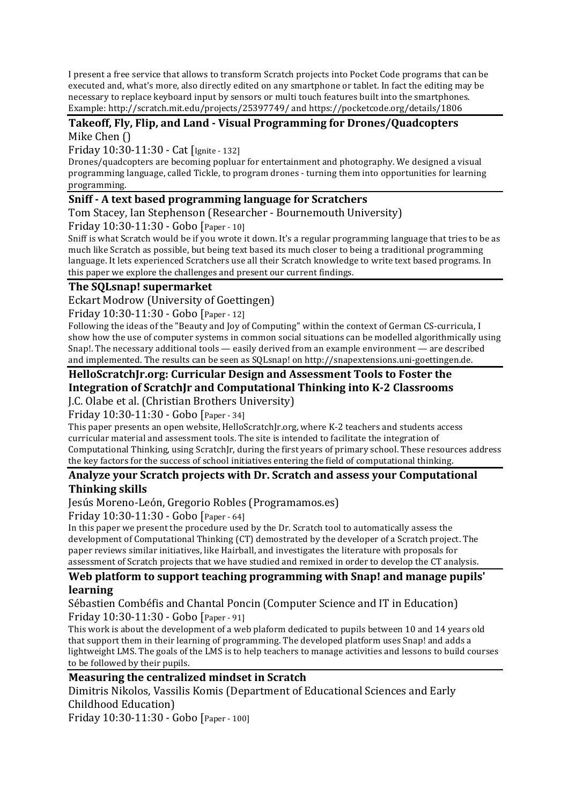I present a free service that allows to transform Scratch projects into Pocket Code programs that can be executed and, what's more, also directly edited on any smartphone or tablet. In fact the editing may be necessary to replace keyboard input by sensors or multi touch features built into the smartphones. Example: http://scratch.mit.edu/projects/25397749/ and https://pocketcode.org/details/1806

### Takeoff, Fly, Flip, and Land - Visual Programming for Drones/Quadcopters Mike Chen ()

Friday 10:30-11:30 - Cat [Ignite - 132]

Drones/quadcopters are becoming popluar for entertainment and photography. We designed a visual programming language, called Tickle, to program drones - turning them into opportunities for learning programming. 

## **Sniff - A text based programming language for Scratchers**

Tom Stacey, Ian Stephenson (Researcher - Bournemouth University)

Friday 10:30-11:30 - Gobo [Paper - 10]

Sniff is what Scratch would be if you wrote it down. It's a regular programming language that tries to be as much like Scratch as possible, but being text based its much closer to being a traditional programming language. It lets experienced Scratchers use all their Scratch knowledge to write text based programs. In this paper we explore the challenges and present our current findings.

### **The SQLsnap! supermarket**

Eckart Modrow (University of Goettingen)

Friday 10:30-11:30 - Gobo [Paper - 12]

Following the ideas of the "Beauty and Joy of Computing" within the context of German CS-curricula, I show how the use of computer systems in common social situations can be modelled algorithmically using Snap!. The necessary additional tools  $-$  easily derived from an example environment  $-$  are described and implemented. The results can be seen as SQLsnap! on http://snapextensions.uni-goettingen.de.

# HelloScratchJr.org: Curricular Design and Assessment Tools to Foster the **Integration of ScratchJr and Computational Thinking into K-2 Classrooms**

J.C. Olabe et al. (Christian Brothers University)

Friday 10:30-11:30 - Gobo [Paper - 34]

This paper presents an open website, HelloScratchJr.org, where K-2 teachers and students access curricular material and assessment tools. The site is intended to facilitate the integration of Computational Thinking, using ScratchJr, during the first years of primary school. These resources address the key factors for the success of school initiatives entering the field of computational thinking.

## Analyze your Scratch projects with Dr. Scratch and assess your Computational **Thinking skills**

Jesús Moreno-León, Gregorio Robles (Programamos.es)

Friday 10:30-11:30 - Gobo [Paper - 64]

In this paper we present the procedure used by the Dr. Scratch tool to automatically assess the development of Computational Thinking (CT) demostrated by the developer of a Scratch project. The paper reviews similar initiatives, like Hairball, and investigates the literature with proposals for assessment of Scratch projects that we have studied and remixed in order to develop the CT analysis.

## **Web platform to support teaching programming with Snap! and manage pupils' learning**

Sébastien Combéfis and Chantal Poncin (Computer Science and IT in Education) Friday 10:30-11:30 - Gobo [Paper - 91]

This work is about the development of a web plaform dedicated to pupils between 10 and 14 years old that support them in their learning of programming. The developed platform uses Snap! and adds a lightweight LMS. The goals of the LMS is to help teachers to manage activities and lessons to build courses to be followed by their pupils.

## **Measuring the centralized mindset in Scratch**

Dimitris Nikolos, Vassilis Komis (Department of Educational Sciences and Early Childhood Education)

Friday 10:30-11:30 - Gobo [Paper - 100]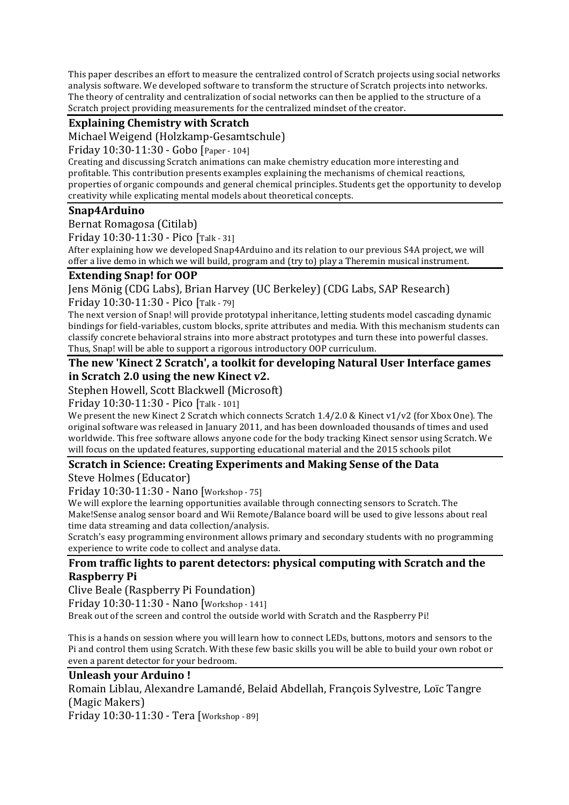This paper describes an effort to measure the centralized control of Scratch projects using social networks analysis software. We developed software to transform the structure of Scratch projects into networks. The theory of centrality and centralization of social networks can then be applied to the structure of a Scratch project providing measurements for the centralized mindset of the creator.

## **Explaining Chemistry with Scratch**

Michael Weigend (Holzkamp-Gesamtschule)

Friday 10:30-11:30 - Gobo [Paper - 104]

Creating and discussing Scratch animations can make chemistry education more interesting and profitable. This contribution presents examples explaining the mechanisms of chemical reactions, properties of organic compounds and general chemical principles. Students get the opportunity to develop creativity while explicating mental models about theoretical concepts.

## **Snap4Arduino**

Bernat Romagosa (Citilab)

Friday 10:30-11:30 - Pico [Talk - 31]

After explaining how we developed Snap4Arduino and its relation to our previous S4A project, we will offer a live demo in which we will build, program and (try to) play a Theremin musical instrument.

### **Extending Snap! for OOP**

Jens Mönig (CDG Labs), Brian Harvey (UC Berkeley) (CDG Labs, SAP Research)

Friday 10:30-11:30 - Pico [Talk - 79]

The next version of Snap! will provide prototypal inheritance, letting students model cascading dynamic bindings for field-variables, custom blocks, sprite attributes and media. With this mechanism students can classify concrete behavioral strains into more abstract prototypes and turn these into powerful classes. Thus, Snap! will be able to support a rigorous introductory OOP curriculum.

### **The new 'Kinect 2 Scratch', a toolkit for developing Natural User Interface games** in Scratch 2.0 using the new Kinect v2.

Stephen Howell, Scott Blackwell (Microsoft)

Friday 10:30-11:30 - Pico [Talk - 101]

We present the new Kinect 2 Scratch which connects Scratch  $1.4/2.0 \&$  Kinect v1/v2 (for Xbox One). The original software was released in January 2011, and has been downloaded thousands of times and used worldwide. This free software allows anyone code for the body tracking Kinect sensor using Scratch. We will focus on the updated features, supporting educational material and the 2015 schools pilot

## **Scratch in Science: Creating Experiments and Making Sense of the Data**

Steve Holmes (Educator)

Friday 10:30-11:30 - Nano [Workshop - 75]

We will explore the learning opportunities available through connecting sensors to Scratch. The Make!Sense analog sensor board and Wii Remote/Balance board will be used to give lessons about real time data streaming and data collection/analysis.

Scratch's easy programming environment allows primary and secondary students with no programming experience to write code to collect and analyse data.

## **From traffic lights to parent detectors: physical computing with Scratch and the Raspberry Pi**

Clive Beale (Raspberry Pi Foundation)

Friday 10:30-11:30 - Nano [Workshop - 141]

Break out of the screen and control the outside world with Scratch and the Raspberry Pi!

This is a hands on session where you will learn how to connect LEDs, buttons, motors and sensors to the Pi and control them using Scratch. With these few basic skills you will be able to build your own robot or even a parent detector for your bedroom.

## **Unleash vour Arduino!**

Romain Liblau, Alexandre Lamandé, Belaid Abdellah, François Sylvestre, Loïc Tangre (Magic Makers)

Friday 10:30-11:30 - Tera [Workshop - 89]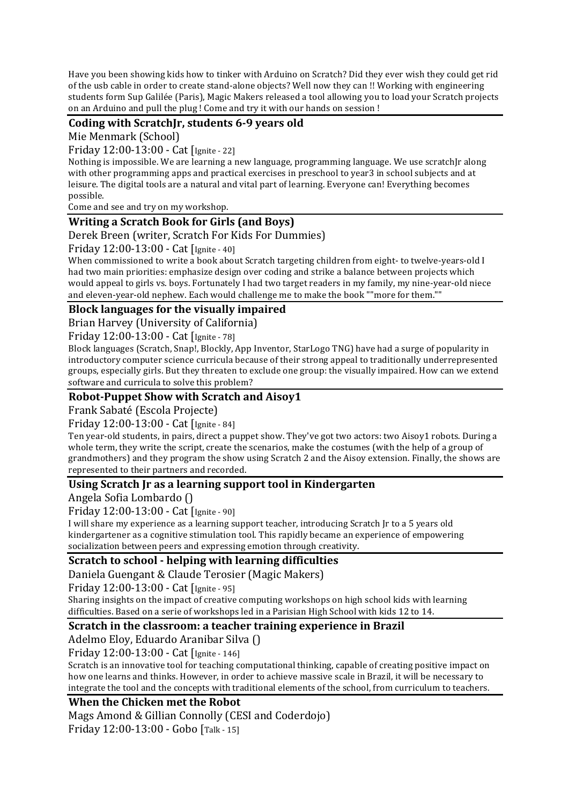Have you been showing kids how to tinker with Arduino on Scratch? Did they ever wish they could get rid of the usb cable in order to create stand-alone objects? Well now they can !! Working with engineering students form Sup Galilée (Paris), Magic Makers released a tool allowing you to load your Scratch projects on an Arduino and pull the plug ! Come and try it with our hands on session !

## Coding with ScratchJr, students 6-9 years old

Mie Menmark (School)

Friday 12:00-13:00 - Cat [Ignite - 22]

Nothing is impossible. We are learning a new language, programming language. We use scratchJr along with other programming apps and practical exercises in preschool to year3 in school subjects and at leisure. The digital tools are a natural and vital part of learning. Everyone can! Everything becomes possible.

Come and see and try on my workshop.

## **Writing a Scratch Book for Girls (and Boys)**

Derek Breen (writer, Scratch For Kids For Dummies)

Friday 12:00-13:00 - Cat [Ignite - 40]

When commissioned to write a book about Scratch targeting children from eight- to twelve-years-old I had two main priorities: emphasize design over coding and strike a balance between projects which would appeal to girls vs. boys. Fortunately I had two target readers in my family, my nine-year-old niece and eleven-year-old nephew. Each would challenge me to make the book ""more for them.""

## **Block languages for the visually impaired**

Brian Harvey (University of California)

Friday 12:00-13:00 - Cat [Ignite - 78]

Block languages (Scratch, Snap!, Blockly, App Inventor, StarLogo TNG) have had a surge of popularity in introductory computer science curricula because of their strong appeal to traditionally underrepresented groups, especially girls. But they threaten to exclude one group: the visually impaired. How can we extend software and curricula to solve this problem?

#### **Robot-Puppet Show with Scratch and Aisoy1**

Frank Sabaté (Escola Projecte)

Friday 12:00-13:00 - Cat [Ignite - 84]

Ten year-old students, in pairs, direct a puppet show. They've got two actors: two Aisoy1 robots. During a whole term, they write the script, create the scenarios, make the costumes (with the help of a group of grandmothers) and they program the show using Scratch 2 and the Aisoy extension. Finally, the shows are represented to their partners and recorded.

## Using Scratch Jr as a learning support tool in Kindergarten

Angela Sofia Lombardo ()

Friday 12:00-13:00 - Cat [Ignite - 90]

I will share my experience as a learning support teacher, introducing Scratch Ir to a 5 years old kindergartener as a cognitive stimulation tool. This rapidly became an experience of empowering socialization between peers and expressing emotion through creativity.

## **Scratch to school - helping with learning difficulties**

Daniela Guengant & Claude Terosier (Magic Makers)

Friday 12:00-13:00 - Cat [Ignite - 95]

Sharing insights on the impact of creative computing workshops on high school kids with learning difficulties. Based on a serie of workshops led in a Parisian High School with kids 12 to 14.

## **Scratch in the classroom: a teacher training experience in Brazil**

Adelmo Eloy, Eduardo Aranibar Silva ()

Friday 12:00-13:00 - Cat [Ignite - 146]

Scratch is an innovative tool for teaching computational thinking, capable of creating positive impact on how one learns and thinks. However, in order to achieve massive scale in Brazil, it will be necessary to integrate the tool and the concepts with traditional elements of the school, from curriculum to teachers.

## **When the Chicken met the Robot**

Mags Amond & Gillian Connolly (CESI and Coderdojo)

Friday 12:00-13:00 - Gobo [Talk - 15]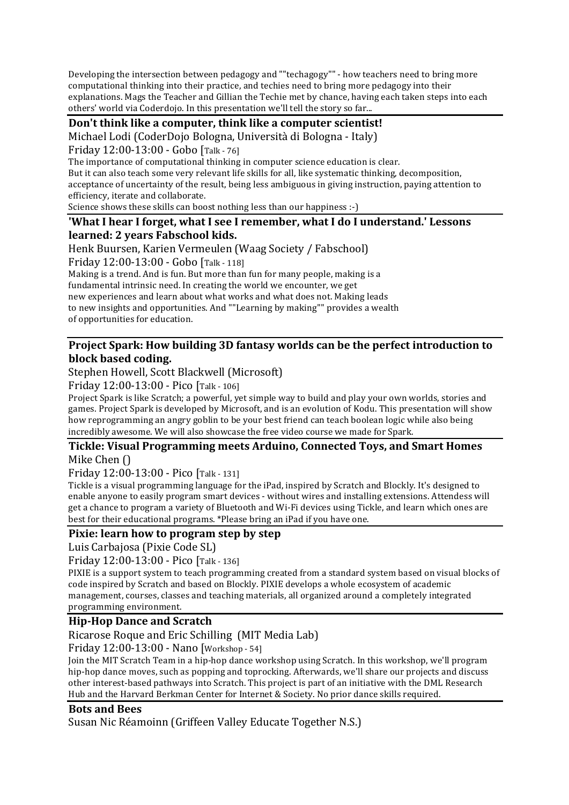Developing the intersection between pedagogy and ""techagogy"" - how teachers need to bring more computational thinking into their practice, and techies need to bring more pedagogy into their explanations. Mags the Teacher and Gillian the Techie met by chance, having each taken steps into each others' world via Coderdojo. In this presentation we'll tell the story so far...

Don't think like a computer, think like a computer scientist! Michael Lodi (CoderDojo Bologna, Università di Bologna - Italy)

Friday 12:00-13:00 - Gobo [Talk - 76]

The importance of computational thinking in computer science education is clear.

But it can also teach some very relevant life skills for all, like systematic thinking, decomposition, acceptance of uncertainty of the result, being less ambiguous in giving instruction, paying attention to efficiency, iterate and collaborate.

Science shows these skills can boost nothing less than our happiness :-)

## 'What I hear I forget, what I see I remember, what I do I understand.' Lessons **learned: 2 years Fabschool kids.**

Henk Buursen, Karien Vermeulen (Waag Society / Fabschool)

Friday 12:00-13:00 - Gobo [Talk - 118]

Making is a trend. And is fun. But more than fun for many people, making is a fundamental intrinsic need. In creating the world we encounter, we get new experiences and learn about what works and what does not. Making leads to new insights and opportunities. And ""Learning by making"" provides a wealth of opportunities for education.

## **Project Spark: How building 3D fantasy worlds can be the perfect introduction to block based coding.**

Stephen Howell, Scott Blackwell (Microsoft)

Friday 12:00-13:00 - Pico [Talk - 106]

Project Spark is like Scratch; a powerful, yet simple way to build and play your own worlds, stories and games. Project Spark is developed by Microsoft, and is an evolution of Kodu. This presentation will show how reprogramming an angry goblin to be your best friend can teach boolean logic while also being incredibly awesome. We will also showcase the free video course we made for Spark.

## **Tickle: Visual Programming meets Arduino, Connected Toys, and Smart Homes** Mike Chen  $\cap$

Friday 12:00-13:00 - Pico [Talk - 131]

Tickle is a visual programming language for the iPad, inspired by Scratch and Blockly. It's designed to enable anyone to easily program smart devices - without wires and installing extensions. Attendess will get a chance to program a variety of Bluetooth and Wi-Fi devices using Tickle, and learn which ones are best for their educational programs. \*Please bring an iPad if you have one.

## **Pixie: learn how to program step by step**

Luis Carbajosa (Pixie Code SL)

Friday 12:00-13:00 - Pico [Talk - 136]

PIXIE is a support system to teach programming created from a standard system based on visual blocks of code inspired by Scratch and based on Blockly. PIXIE develops a whole ecosystem of academic management, courses, classes and teaching materials, all organized around a completely integrated programming environment.

## **Hip-Hop Dance and Scratch**

## Ricarose Roque and Eric Schilling (MIT Media Lab)

Friday 12:00-13:00 - Nano [Workshop - 54]

Join the MIT Scratch Team in a hip-hop dance workshop using Scratch. In this workshop, we'll program hip-hop dance moves, such as popping and toprocking. Afterwards, we'll share our projects and discuss other interest-based pathways into Scratch. This project is part of an initiative with the DML Research Hub and the Harvard Berkman Center for Internet & Society. No prior dance skills required.

## **Bots and Bees**

Susan Nic Réamoinn (Griffeen Valley Educate Together N.S.)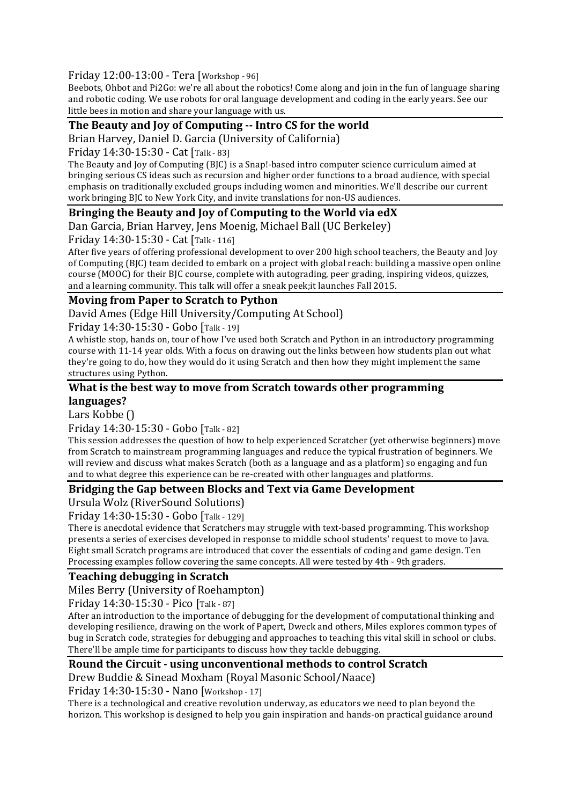### Friday 12:00-13:00 - Tera [Workshop - 96]

Beebots, Ohbot and Pi2Go: we're all about the robotics! Come along and join in the fun of language sharing and robotic coding. We use robots for oral language development and coding in the early years. See our little bees in motion and share your language with us.

## **The Beauty and Joy of Computing -- Intro CS for the world**

Brian Harvey, Daniel D. Garcia (University of California)

Friday 14:30-15:30 - Cat [Talk - 83]

The Beauty and loy of Computing (BIC) is a Snap!-based intro computer science curriculum aimed at bringing serious CS ideas such as recursion and higher order functions to a broad audience, with special emphasis on traditionally excluded groups including women and minorities. We'll describe our current work bringing BJC to New York City, and invite translations for non-US audiences.

### **Bringing the Beauty and Joy of Computing to the World via edX**

Dan Garcia, Brian Harvey, Jens Moenig, Michael Ball (UC Berkeley)

Friday 14:30-15:30 - Cat [Talk - 116]

After five years of offering professional development to over 200 high school teachers, the Beauty and Joy of Computing (BIC) team decided to embark on a project with global reach: building a massive open online course (MOOC) for their BJC course, complete with autograding, peer grading, inspiring videos, quizzes, and a learning community. This talk will offer a sneak peek;it launches Fall 2015.

## **Moving from Paper to Scratch to Python**

David Ames (Edge Hill University/Computing At School)

Friday 14:30-15:30 - Gobo [Talk - 19]

A whistle stop, hands on, tour of how I've used both Scratch and Python in an introductory programming course with 11-14 year olds. With a focus on drawing out the links between how students plan out what they're going to do, how they would do it using Scratch and then how they might implement the same structures using Python.

#### What is the best way to move from Scratch towards other programming **languages?**

Lars Kobbe ()

Friday 14:30-15:30 - Gobo [Talk - 82]

This session addresses the question of how to help experienced Scratcher (yet otherwise beginners) move from Scratch to mainstream programming languages and reduce the typical frustration of beginners. We will review and discuss what makes Scratch (both as a language and as a platform) so engaging and fun and to what degree this experience can be re-created with other languages and platforms.

## **Bridging the Gap between Blocks and Text via Game Development**

Ursula Wolz (RiverSound Solutions)

Friday 14:30-15:30 - Gobo [Talk - 129]

There is anecdotal evidence that Scratchers may struggle with text-based programming. This workshop presents a series of exercises developed in response to middle school students' request to move to Java. Eight small Scratch programs are introduced that cover the essentials of coding and game design. Ten Processing examples follow covering the same concepts. All were tested by 4th - 9th graders.

## **Teaching debugging in Scratch**

Miles Berry (University of Roehampton)

Friday 14:30-15:30 - Pico [Talk - 87]

After an introduction to the importance of debugging for the development of computational thinking and developing resilience, drawing on the work of Papert, Dweck and others, Miles explores common types of bug in Scratch code, strategies for debugging and approaches to teaching this vital skill in school or clubs. There'll be ample time for participants to discuss how they tackle debugging.

#### **Round the Circuit - using unconventional methods to control Scratch** Drew Buddie & Sinead Moxham (Royal Masonic School/Naace)

Friday 14:30-15:30 - Nano [Workshop - 17]

There is a technological and creative revolution underway, as educators we need to plan beyond the horizon. This workshop is designed to help you gain inspiration and hands-on practical guidance around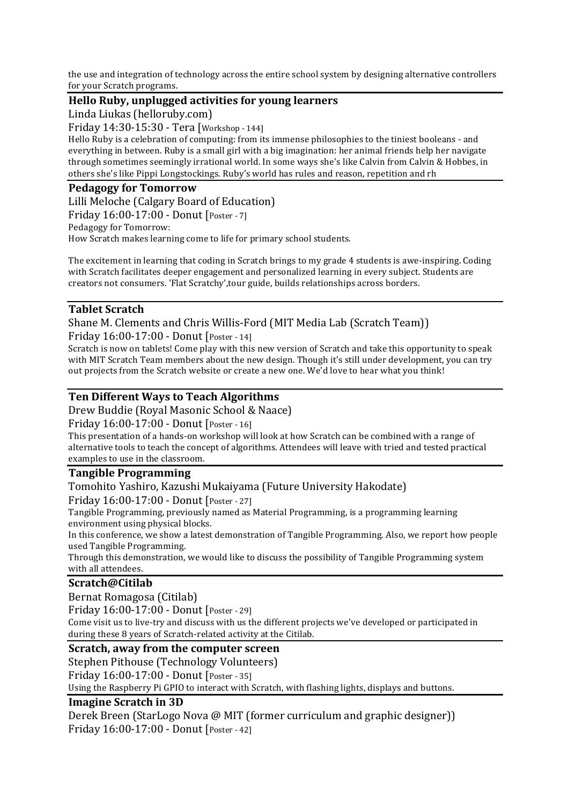the use and integration of technology across the entire school system by designing alternative controllers for your Scratch programs.

#### **Hello Ruby, unplugged activities for young learners**

Linda Liukas (helloruby.com)

Friday 14:30-15:30 - Tera [Workshop - 144]

Hello Ruby is a celebration of computing: from its immense philosophies to the tiniest booleans - and everything in between. Ruby is a small girl with a big imagination: her animal friends help her navigate through sometimes seemingly irrational world. In some ways she's like Calvin from Calvin & Hobbes, in others she's like Pippi Longstockings. Ruby's world has rules and reason, repetition and rh

## **Pedagogy for Tomorrow**

Lilli Meloche (Calgary Board of Education) Friday 16:00-17:00 - Donut [Poster - 7] Pedagogy for Tomorrow: How Scratch makes learning come to life for primary school students.

The excitement in learning that coding in Scratch brings to my grade 4 students is awe-inspiring. Coding with Scratch facilitates deeper engagement and personalized learning in every subject. Students are creators not consumers. 'Flat Scratchy', tour guide, builds relationships across borders.

## **Tablet Scratch**

Shane M. Clements and Chris Willis-Ford (MIT Media Lab (Scratch Team)) Friday 16:00-17:00 - Donut [Poster - 14]

Scratch is now on tablets! Come play with this new version of Scratch and take this opportunity to speak with MIT Scratch Team members about the new design. Though it's still under development, you can try out projects from the Scratch website or create a new one. We'd love to hear what you think!

### **Ten Different Ways to Teach Algorithms**

Drew Buddie (Royal Masonic School & Naace)

Friday 16:00-17:00 - Donut [Poster - 16]

This presentation of a hands-on workshop will look at how Scratch can be combined with a range of alternative tools to teach the concept of algorithms. Attendees will leave with tried and tested practical examples to use in the classroom.

#### **Tangible Programming**

#### Tomohito Yashiro, Kazushi Mukaiyama (Future University Hakodate)

Friday 16:00-17:00 - Donut [Poster - 27]

Tangible Programming, previously named as Material Programming, is a programming learning environment using physical blocks.

In this conference, we show a latest demonstration of Tangible Programming. Also, we report how people used Tangible Programming.

Through this demonstration, we would like to discuss the possibility of Tangible Programming system with all attendees.

#### **Scratch@Citilab**

Bernat Romagosa (Citilab)

Friday 16:00-17:00 - Donut [Poster - 29]

Come visit us to live-try and discuss with us the different projects we've developed or participated in during these 8 years of Scratch-related activity at the Citilab.

#### **Scratch, away from the computer screen**

Stephen Pithouse (Technology Volunteers)

Friday 16:00-17:00 - Donut [Poster - 35]

Using the Raspberry Pi GPIO to interact with Scratch, with flashing lights, displays and buttons.

#### **Imagine Scratch in 3D**

Derek Breen (StarLogo Nova @ MIT (former curriculum and graphic designer)) Friday 16:00-17:00 - Donut [Poster - 42]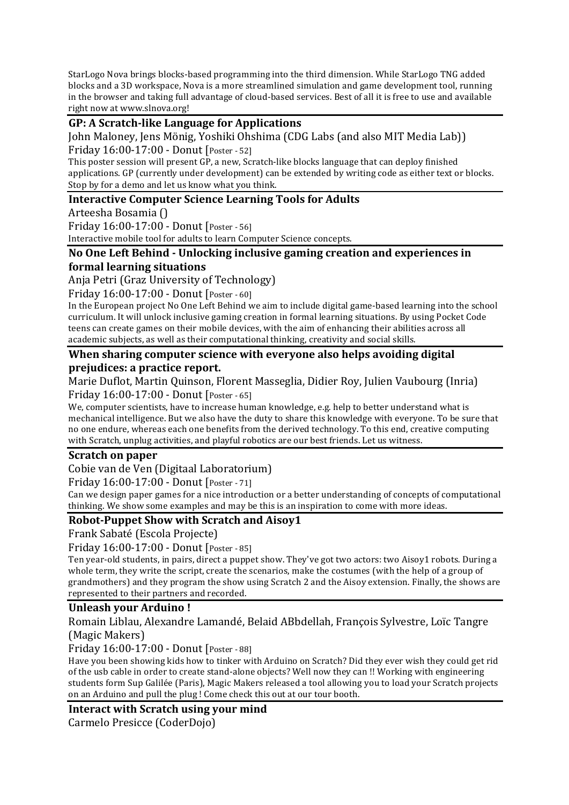StarLogo Nova brings blocks-based programming into the third dimension. While StarLogo TNG added blocks and a 3D workspace, Nova is a more streamlined simulation and game development tool, running in the browser and taking full advantage of cloud-based services. Best of all it is free to use and available right now at www.slnova.org!

### **GP: A Scratch-like Language for Applications**

John Maloney, Jens Mönig, Yoshiki Ohshima (CDG Labs (and also MIT Media Lab)) Friday 16:00-17:00 - Donut [Poster - 52]

This poster session will present GP, a new, Scratch-like blocks language that can deploy finished applications. GP (currently under development) can be extended by writing code as either text or blocks. Stop by for a demo and let us know what you think.

### **Interactive Computer Science Learning Tools for Adults**

Arteesha Bosamia ()

Friday 16:00-17:00 - Donut [Poster - 56]

Interactive mobile tool for adults to learn Computer Science concepts.

#### No One Left Behind - Unlocking inclusive gaming creation and experiences in **formal learning situations**

Anja Petri (Graz University of Technology)

Friday 16:00-17:00 - Donut [Poster - 60]

In the European project No One Left Behind we aim to include digital game-based learning into the school curriculum. It will unlock inclusive gaming creation in formal learning situations. By using Pocket Code teens can create games on their mobile devices, with the aim of enhancing their abilities across all academic subjects, as well as their computational thinking, creativity and social skills.

#### **When sharing computer science with everyone also helps avoiding digital prejudices: a practice report.**

Marie Duflot, Martin Quinson, Florent Masseglia, Didier Roy, Julien Vaubourg (Inria) Friday 16:00-17:00 - Donut [Poster - 65]

We, computer scientists, have to increase human knowledge, e.g. help to better understand what is mechanical intelligence. But we also have the duty to share this knowledge with everyone. To be sure that no one endure, whereas each one benefits from the derived technology. To this end, creative computing with Scratch, unplug activities, and playful robotics are our best friends. Let us witness.

#### **Scratch on paper**

Cobie van de Ven (Digitaal Laboratorium)

Friday 16:00-17:00 - Donut [Poster - 71]

Can we design paper games for a nice introduction or a better understanding of concepts of computational thinking. We show some examples and may be this is an inspiration to come with more ideas.

## **Robot-Puppet Show with Scratch and Aisoy1**

Frank Sabaté (Escola Projecte)

Friday 16:00-17:00 - Donut [Poster - 85]

Ten year-old students, in pairs, direct a puppet show. They've got two actors: two Aisoy1 robots. During a whole term, they write the script, create the scenarios, make the costumes (with the help of a group of grandmothers) and they program the show using Scratch 2 and the Aisoy extension. Finally, the shows are represented to their partners and recorded.

#### **Unleash vour Arduino!**

Romain Liblau, Alexandre Lamandé, Belaid ABbdellah, François Sylvestre, Loïc Tangre (Magic Makers)

Friday 16:00-17:00 - Donut [Poster - 88]

Have you been showing kids how to tinker with Arduino on Scratch? Did they ever wish they could get rid of the usb cable in order to create stand-alone objects? Well now they can !! Working with engineering students form Sup Galilée (Paris), Magic Makers released a tool allowing you to load your Scratch projects on an Arduino and pull the plug ! Come check this out at our tour booth.

**Interact with Scratch using your mind** 

Carmelo Presicce (CoderDojo)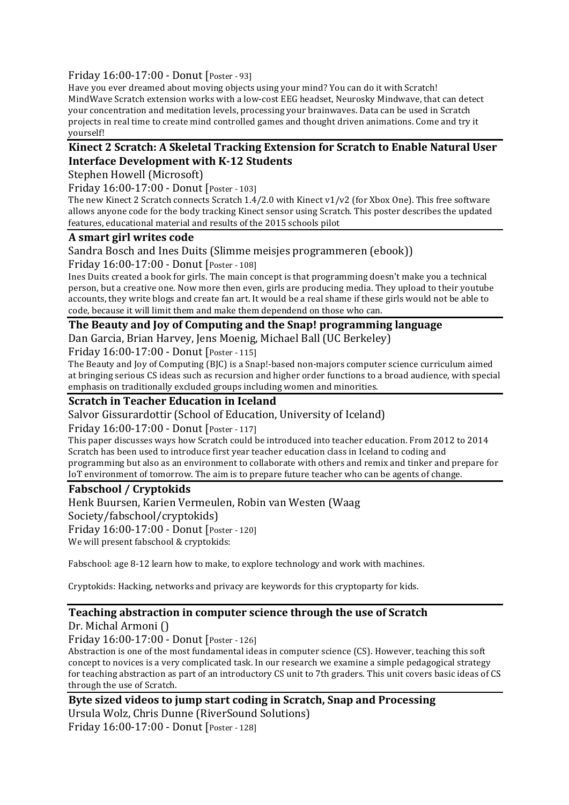#### Friday 16:00-17:00 - Donut [Poster - 93]

Have you ever dreamed about moving objects using your mind? You can do it with Scratch! MindWave Scratch extension works with a low-cost EEG headset, Neurosky Mindwave, that can detect your concentration and meditation levels, processing your brainwaves. Data can be used in Scratch projects in real time to create mind controlled games and thought driven animations. Come and try it yourself!

### Kinect 2 Scratch: A Skeletal Tracking Extension for Scratch to Enable Natural User **Interface Development with K-12 Students**

Stephen Howell (Microsoft)

Friday 16:00-17:00 - Donut [Poster - 103]

The new Kinect 2 Scratch connects Scratch  $1.4/2.0$  with Kinect v1/v2 (for Xbox One). This free software allows anyone code for the body tracking Kinect sensor using Scratch. This poster describes the updated features, educational material and results of the 2015 schools pilot

#### **A smart girl writes code**

Sandra Bosch and Ines Duits (Slimme meisjes programmeren (ebook))

Friday 16:00-17:00 - Donut [Poster - 108]

Ines Duits created a book for girls. The main concept is that programming doesn't make you a technical person, but a creative one. Now more then even, girls are producing media. They upload to their youtube accounts, they write blogs and create fan art. It would be a real shame if these girls would not be able to code, because it will limit them and make them dependend on those who can.

#### The Beauty and Joy of Computing and the Snap! programming language

Dan Garcia, Brian Harvey, Jens Moenig, Michael Ball (UC Berkeley)

Friday 16:00-17:00 - Donut [Poster - 115]

The Beauty and  $Iov$  of Computing  $[B]C$  is a Snap!-based non-majors computer science curriculum aimed at bringing serious CS ideas such as recursion and higher order functions to a broad audience, with special emphasis on traditionally excluded groups including women and minorities.

#### **Scratch in Teacher Education in Iceland**

Salvor Gissurardottir (School of Education, University of Iceland)

Friday 16:00-17:00 - Donut [Poster - 117]

This paper discusses ways how Scratch could be introduced into teacher education. From 2012 to 2014 Scratch has been used to introduce first year teacher education class in Iceland to coding and programming but also as an environment to collaborate with others and remix and tinker and prepare for IoT environment of tomorrow. The aim is to prepare future teacher who can be agents of change.

#### **Fabschool / Cryptokids**

Henk Buursen, Karien Vermeulen, Robin van Westen (Waag Society/fabschool/cryptokids) Friday 16:00-17:00 - Donut [Poster - 120] We will present fabschool & cryptokids:

Fabschool: age 8-12 learn how to make, to explore technology and work with machines.

Cryptokids: Hacking, networks and privacy are keywords for this cryptoparty for kids.

#### **Teaching abstraction in computer science through the use of Scratch** Dr. Michal Armoni ()

Friday 16:00-17:00 - Donut [Poster - 126]

Abstraction is one of the most fundamental ideas in computer science (CS). However, teaching this soft concept to novices is a very complicated task. In our research we examine a simple pedagogical strategy for teaching abstraction as part of an introductory CS unit to 7th graders. This unit covers basic ideas of CS through the use of Scratch.

## **Byte sized videos to jump start coding in Scratch, Snap and Processing** Ursula Wolz, Chris Dunne (RiverSound Solutions) Friday 16:00-17:00 - Donut [Poster - 128]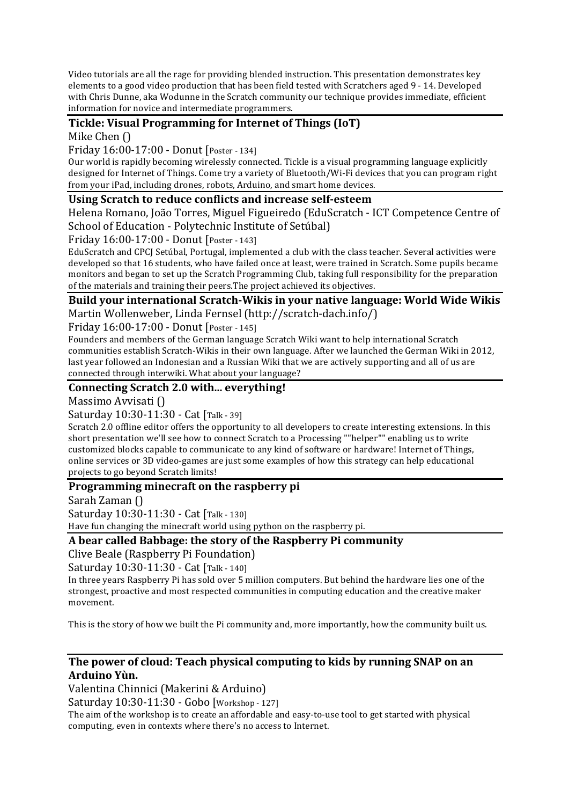Video tutorials are all the rage for providing blended instruction. This presentation demonstrates key elements to a good video production that has been field tested with Scratchers aged 9 - 14. Developed with Chris Dunne, aka Wodunne in the Scratch community our technique provides immediate, efficient information for novice and intermediate programmers.

# **Tickle: Visual Programming for Internet of Things (IoT)**

Mike Chen ()

Friday 16:00-17:00 - Donut [Poster - 134]

Our world is rapidly becoming wirelessly connected. Tickle is a visual programming language explicitly designed for Internet of Things. Come try a variety of Bluetooth/Wi-Fi devices that you can program right from your iPad, including drones, robots, Arduino, and smart home devices.

### Using Scratch to reduce conflicts and increase self-esteem

Helena Romano, João Torres, Miguel Figueiredo (EduScratch - ICT Competence Centre of School of Education - Polytechnic Institute of Setúbal)

Friday 16:00-17:00 - Donut [Poster - 143]

EduScratch and CPCJ Setúbal, Portugal, implemented a club with the class teacher. Several activities were developed so that 16 students, who have failed once at least, were trained in Scratch. Some pupils became monitors and began to set up the Scratch Programming Club, taking full responsibility for the preparation of the materials and training their peers. The project achieved its objectives.

#### **Build your international Scratch-Wikis in your native language: World Wide Wikis** Martin Wollenweber, Linda Fernsel (http://scratch-dach.info/)

Friday 16:00-17:00 - Donut [Poster - 145]

Founders and members of the German language Scratch Wiki want to help international Scratch communities establish Scratch-Wikis in their own language. After we launched the German Wiki in 2012, last vear followed an Indonesian and a Russian Wiki that we are actively supporting and all of us are connected through interwiki. What about your language?

#### Connecting Scratch 2.0 with... everything!

Massimo Avvisati ()

Saturday 10:30-11:30 - Cat [Talk - 39]

Scratch 2.0 offline editor offers the opportunity to all developers to create interesting extensions. In this short presentation we'll see how to connect Scratch to a Processing ""helper"" enabling us to write customized blocks capable to communicate to any kind of software or hardware! Internet of Things, online services or 3D video-games are just some examples of how this strategy can help educational projects to go beyond Scratch limits!

## **Programming minecraft on the raspberry pi**

Sarah Zaman ()

Saturday 10:30-11:30 - Cat [Talk - 130]

Have fun changing the minecraft world using python on the raspberry pi.

#### **A bear called Babbage: the story of the Raspberry Pi community**

Clive Beale (Raspberry Pi Foundation)

Saturday 10:30-11:30 - Cat [Talk - 140]

In three years Raspberry Pi has sold over 5 million computers. But behind the hardware lies one of the strongest, proactive and most respected communities in computing education and the creative maker movement. 

This is the story of how we built the Pi community and, more importantly, how the community built us.

## The power of cloud: Teach physical computing to kids by running SNAP on an **Arduino Yùn.**

Valentina Chinnici (Makerini & Arduino)

Saturday 10:30-11:30 - Gobo [Workshop - 127]

The aim of the workshop is to create an affordable and easy-to-use tool to get started with physical computing, even in contexts where there's no access to Internet.